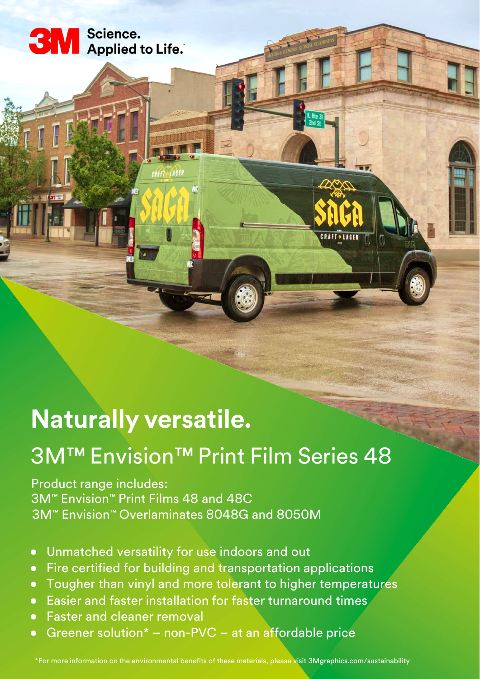

**3M** Science.<br>Applied to Life.

## 3M™ Envision™ Print Film Series 48

**CRAFT . LAGER** 

Product range includes: 3M™ Envision™ Print Films 48 and 48C 3M™ Envision™ Overlaminates 8048G and 8050M

enited A61

- Unmatched versatility for use indoors and out
- Fire certified for building and transportation applications
- Tougher than vinyl and more tolerant to higher temperatures
- Easier and faster installation for faster turnaround times
- Faster and cleaner removal
- Greener solution<sup>\*</sup> non-PVC at an affordable price

\*For more information on the environmental benefits of these materials, please visit 3Mgraphics.com/sustainability